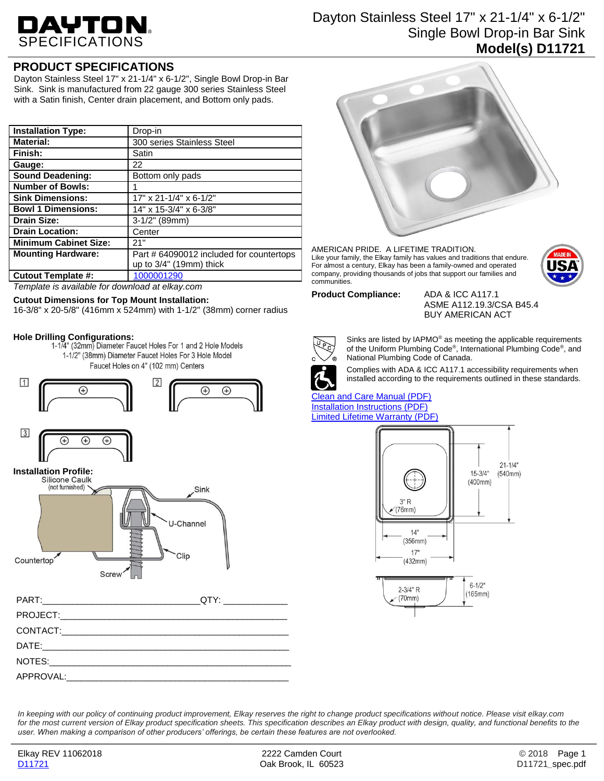# DAYTON SPECIFICATIONS

## Dayton Stainless Steel 17" x 21-1/4" x 6-1/2" Single Bowl Drop-in Bar Sink **Model(s) D11721**

# **PRODUCT SPECIFICATIONS**

Dayton Stainless Steel 17" x 21-1/4" x 6-1/2", Single Bowl Drop-in Bar Sink. Sink is manufactured from 22 gauge 300 series Stainless Steel with a Satin finish, Center drain placement, and Bottom only pads.

| <b>Installation Type:</b>    | Drop-in                                  |
|------------------------------|------------------------------------------|
| <b>Material:</b>             | 300 series Stainless Steel               |
| Finish:                      | Satin                                    |
| Gauge:                       | 22                                       |
| <b>Sound Deadening:</b>      | Bottom only pads                         |
| <b>Number of Bowls:</b>      |                                          |
| <b>Sink Dimensions:</b>      | 17" x 21-1/4" x 6-1/2"                   |
| <b>Bowl 1 Dimensions:</b>    | 14" x 15-3/4" x 6-3/8"                   |
| <b>Drain Size:</b>           | $3-1/2"$ (89mm)                          |
| <b>Drain Location:</b>       | Center                                   |
| <b>Minimum Cabinet Size:</b> | 21"                                      |
| <b>Mounting Hardware:</b>    | Part # 64090012 included for countertops |
|                              | up to $3/4$ " (19mm) thick               |
| <b>Cutout Template #:</b>    | 1000001290                               |

*Template is available for download at elkay.com*

#### **Cutout Dimensions for Top Mount Installation:**

16-3/8" x 20-5/8" (416mm x 524mm) with 1-1/2" (38mm) corner radius

**Hole Drilling Configurations:**<br>1-1/4" (32mm) Diameter Faucet Holes For 1 and 2 Hole Models 1-1/2" (38mm) Diameter Faucet Holes For 3 Hole Model

Faucet Holes on 4" (102 mm) Centers





AMERICAN PRIDE. A LIFETIME TRADITION. Like your family, the Elkay family has values and traditions that endure. For almost a century, Elkay has been a family-owned and operated company, providing thousands of jobs that support our families and communities.



**Product Compliance:** ADA & ICC A117.1

ASME A112.19.3/CSA B45.4 BUY AMERICAN ACT



Sinks are listed by IAPMO® as meeting the applicable requirements of the Uniform Plumbing Code® , International Plumbing Code® , and National Plumbing Code of Canada.



Complies with ADA & ICC A117.1 accessibility requirements when installed according to the requirements outlined in these standards.

#### [Clean and Care Manual \(PDF\)](http://www.elkay.com/wcsstore/lkdocs/care-cleaning-install-warranty-sheets/residential%20and%20commercial%20care%20%20cleaning.pdf) [Installation Instructions \(PDF\)](http://www.elkay.com/wcsstore/lkdocs/care-cleaning-install-warranty-sheets/64180036.pdf) [Limited Lifetime Warranty](http://www.elkay.com/wcsstore/lkdocs/care-cleaning-install-warranty-sheets/residential%20sinks%20warranty.pdf) (PDF)



*In keeping with our policy of continuing product improvement, Elkay reserves the right to change product specifications without notice. Please visit elkay.com*  for the most current version of Elkay product specification sheets. This specification describes an Elkay product with design, quality, and functional benefits to the *user. When making a comparison of other producers' offerings, be certain these features are not overlooked.*